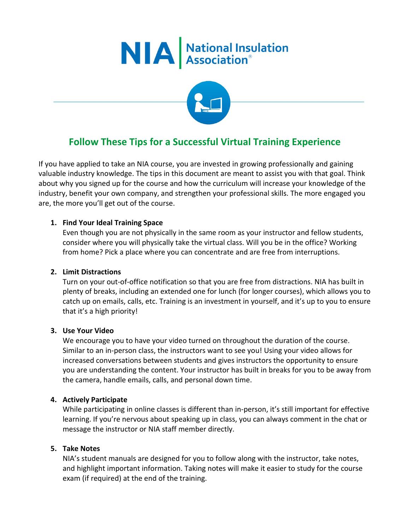



# **Follow These Tips for a Successful Virtual Training Experience**

If you have applied to take an NIA course, you are invested in growing professionally and gaining valuable industry knowledge. The tips in this document are meant to assist you with that goal. Think about why you signed up for the course and how the curriculum will increase your knowledge of the industry, benefit your own company, and strengthen your professional skills. The more engaged you are, the more you'll get out of the course.

## **1. Find Your Ideal Training Space**

Even though you are not physically in the same room as your instructor and fellow students, consider where you will physically take the virtual class. Will you be in the office? Working from home? Pick a place where you can concentrate and are free from interruptions.

## **2. Limit Distractions**

Turn on your out-of-office notification so that you are free from distractions. NIA has built in plenty of breaks, including an extended one for lunch (for longer courses), which allows you to catch up on emails, calls, etc. Training is an investment in yourself, and it's up to you to ensure that it's a high priority!

## **3. Use Your Video**

We encourage you to have your video turned on throughout the duration of the course. Similar to an in-person class, the instructors want to see you! Using your video allows for increased conversations between students and gives instructors the opportunity to ensure you are understanding the content. Your instructor has built in breaks for you to be away from the camera, handle emails, calls, and personal down time.

## **4. Actively Participate**

While participating in online classes is different than in-person, it's still important for effective learning. If you're nervous about speaking up in class, you can always comment in the chat or message the instructor or NIA staff member directly.

## **5. Take Notes**

NIA's student manuals are designed for you to follow along with the instructor, take notes, and highlight important information. Taking notes will make it easier to study for the course exam (if required) at the end of the training.